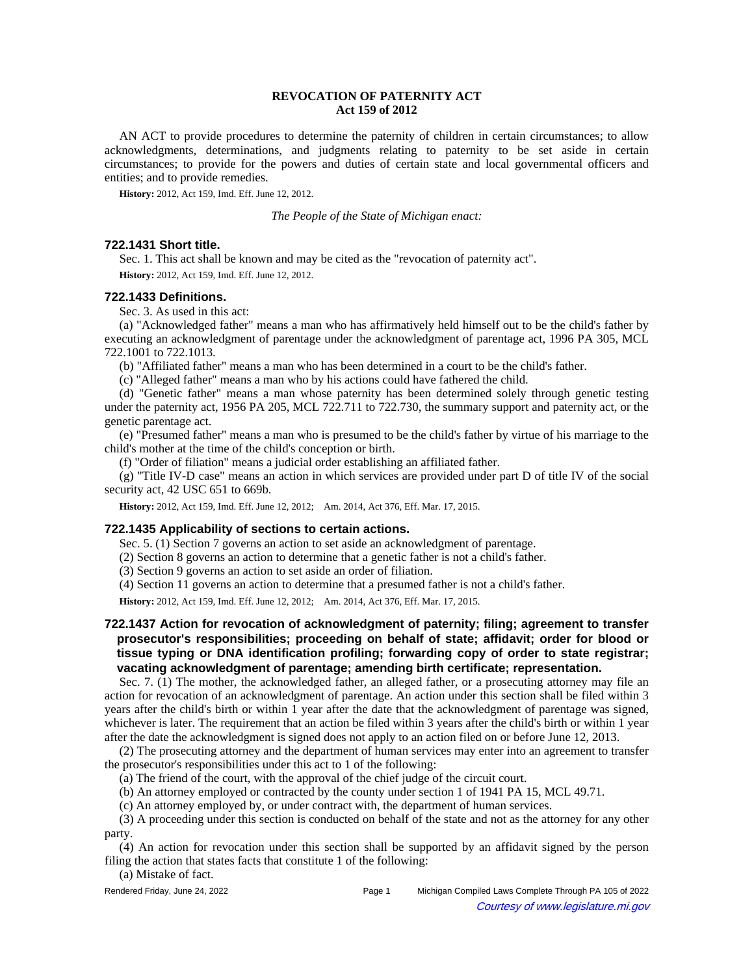## **REVOCATION OF PATERNITY ACT Act 159 of 2012**

AN ACT to provide procedures to determine the paternity of children in certain circumstances; to allow acknowledgments, determinations, and judgments relating to paternity to be set aside in certain circumstances; to provide for the powers and duties of certain state and local governmental officers and entities; and to provide remedies.

**History:** 2012, Act 159, Imd. Eff. June 12, 2012.

*The People of the State of Michigan enact:*

## **722.1431 Short title.**

Sec. 1. This act shall be known and may be cited as the "revocation of paternity act".

**History:** 2012, Act 159, Imd. Eff. June 12, 2012.

## **722.1433 Definitions.**

Sec. 3. As used in this act:

(a) "Acknowledged father" means a man who has affirmatively held himself out to be the child's father by executing an acknowledgment of parentage under the acknowledgment of parentage act, 1996 PA 305, MCL 722.1001 to 722.1013.

(b) "Affiliated father" means a man who has been determined in a court to be the child's father.

(c) "Alleged father" means a man who by his actions could have fathered the child.

(d) "Genetic father" means a man whose paternity has been determined solely through genetic testing under the paternity act, 1956 PA 205, MCL 722.711 to 722.730, the summary support and paternity act, or the genetic parentage act.

(e) "Presumed father" means a man who is presumed to be the child's father by virtue of his marriage to the child's mother at the time of the child's conception or birth.

(f) "Order of filiation" means a judicial order establishing an affiliated father.

(g) "Title IV-D case" means an action in which services are provided under part D of title IV of the social security act, 42 USC 651 to 669b.

History: 2012, Act 159, Imd. Eff. June 12, 2012;-- Am. 2014, Act 376, Eff. Mar. 17, 2015.

#### **722.1435 Applicability of sections to certain actions.**

Sec. 5. (1) Section 7 governs an action to set aside an acknowledgment of parentage.

(2) Section 8 governs an action to determine that a genetic father is not a child's father.

(3) Section 9 governs an action to set aside an order of filiation.

(4) Section 11 governs an action to determine that a presumed father is not a child's father.

History: 2012, Act 159, Imd. Eff. June 12, 2012;-- Am. 2014, Act 376, Eff. Mar. 17, 2015.

# **722.1437 Action for revocation of acknowledgment of paternity; filing; agreement to transfer prosecutor's responsibilities; proceeding on behalf of state; affidavit; order for blood or tissue typing or DNA identification profiling; forwarding copy of order to state registrar; vacating acknowledgment of parentage; amending birth certificate; representation.**

Sec. 7. (1) The mother, the acknowledged father, an alleged father, or a prosecuting attorney may file an action for revocation of an acknowledgment of parentage. An action under this section shall be filed within 3 years after the child's birth or within 1 year after the date that the acknowledgment of parentage was signed, whichever is later. The requirement that an action be filed within 3 years after the child's birth or within 1 year after the date the acknowledgment is signed does not apply to an action filed on or before June 12, 2013.

(2) The prosecuting attorney and the department of human services may enter into an agreement to transfer the prosecutor's responsibilities under this act to 1 of the following:

(a) The friend of the court, with the approval of the chief judge of the circuit court.

(b) An attorney employed or contracted by the county under section 1 of 1941 PA 15, MCL 49.71.

(c) An attorney employed by, or under contract with, the department of human services.

(3) A proceeding under this section is conducted on behalf of the state and not as the attorney for any other party.

(4) An action for revocation under this section shall be supported by an affidavit signed by the person filing the action that states facts that constitute 1 of the following:

(a) Mistake of fact.

| Rendered Friday, June 24, 2022 | Page 1 | Michigan Compiled Laws Complete Through PA 105 of 2022 |
|--------------------------------|--------|--------------------------------------------------------|
| $\odot$                        |        | Courtesy of www.legislature.mi.gov                     |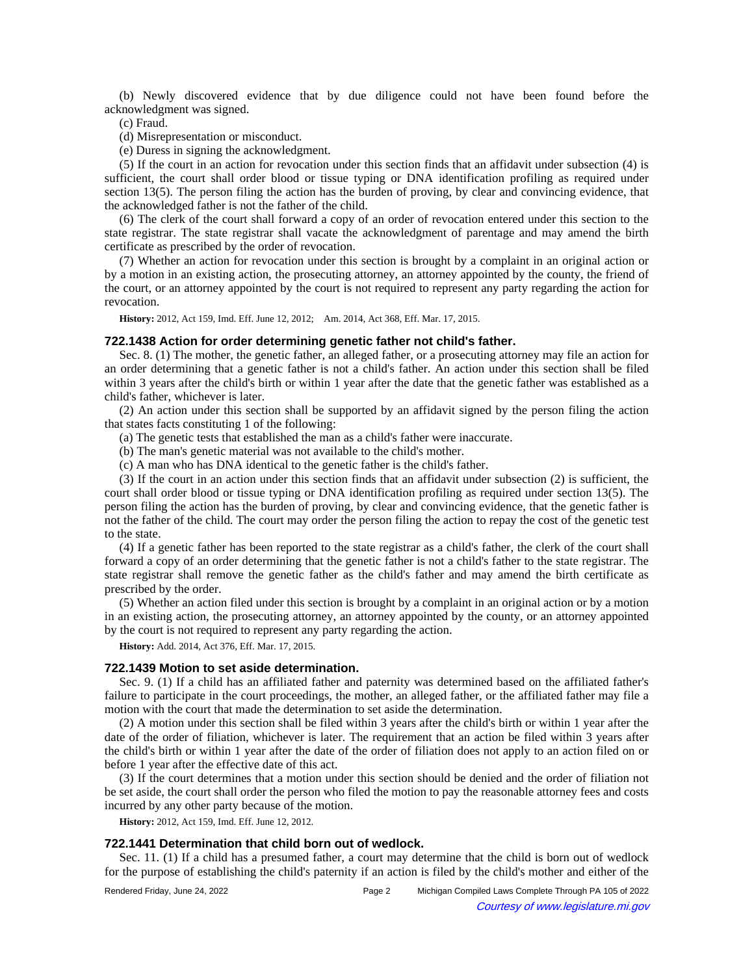(b) Newly discovered evidence that by due diligence could not have been found before the acknowledgment was signed.

(c) Fraud.

(d) Misrepresentation or misconduct.

(e) Duress in signing the acknowledgment.

(5) If the court in an action for revocation under this section finds that an affidavit under subsection (4) is sufficient, the court shall order blood or tissue typing or DNA identification profiling as required under section 13(5). The person filing the action has the burden of proving, by clear and convincing evidence, that the acknowledged father is not the father of the child.

(6) The clerk of the court shall forward a copy of an order of revocation entered under this section to the state registrar. The state registrar shall vacate the acknowledgment of parentage and may amend the birth certificate as prescribed by the order of revocation.

(7) Whether an action for revocation under this section is brought by a complaint in an original action or by a motion in an existing action, the prosecuting attorney, an attorney appointed by the county, the friend of the court, or an attorney appointed by the court is not required to represent any party regarding the action for revocation.

History: 2012, Act 159, Imd. Eff. June 12, 2012;-- Am. 2014, Act 368, Eff. Mar. 17, 2015.

#### **722.1438 Action for order determining genetic father not child's father.**

Sec. 8. (1) The mother, the genetic father, an alleged father, or a prosecuting attorney may file an action for an order determining that a genetic father is not a child's father. An action under this section shall be filed within 3 years after the child's birth or within 1 year after the date that the genetic father was established as a child's father, whichever is later.

(2) An action under this section shall be supported by an affidavit signed by the person filing the action that states facts constituting 1 of the following:

(a) The genetic tests that established the man as a child's father were inaccurate.

(b) The man's genetic material was not available to the child's mother.

(c) A man who has DNA identical to the genetic father is the child's father.

(3) If the court in an action under this section finds that an affidavit under subsection (2) is sufficient, the court shall order blood or tissue typing or DNA identification profiling as required under section 13(5). The person filing the action has the burden of proving, by clear and convincing evidence, that the genetic father is not the father of the child. The court may order the person filing the action to repay the cost of the genetic test to the state.

(4) If a genetic father has been reported to the state registrar as a child's father, the clerk of the court shall forward a copy of an order determining that the genetic father is not a child's father to the state registrar. The state registrar shall remove the genetic father as the child's father and may amend the birth certificate as prescribed by the order.

(5) Whether an action filed under this section is brought by a complaint in an original action or by a motion in an existing action, the prosecuting attorney, an attorney appointed by the county, or an attorney appointed by the court is not required to represent any party regarding the action.

**History:** Add. 2014, Act 376, Eff. Mar. 17, 2015.

#### **722.1439 Motion to set aside determination.**

Sec. 9. (1) If a child has an affiliated father and paternity was determined based on the affiliated father's failure to participate in the court proceedings, the mother, an alleged father, or the affiliated father may file a motion with the court that made the determination to set aside the determination.

(2) A motion under this section shall be filed within 3 years after the child's birth or within 1 year after the date of the order of filiation, whichever is later. The requirement that an action be filed within 3 years after the child's birth or within 1 year after the date of the order of filiation does not apply to an action filed on or before 1 year after the effective date of this act.

(3) If the court determines that a motion under this section should be denied and the order of filiation not be set aside, the court shall order the person who filed the motion to pay the reasonable attorney fees and costs incurred by any other party because of the motion.

**History:** 2012, Act 159, Imd. Eff. June 12, 2012.

#### **722.1441 Determination that child born out of wedlock.**

Sec. 11. (1) If a child has a presumed father, a court may determine that the child is born out of wedlock for the purpose of establishing the child's paternity if an action is filed by the child's mother and either of the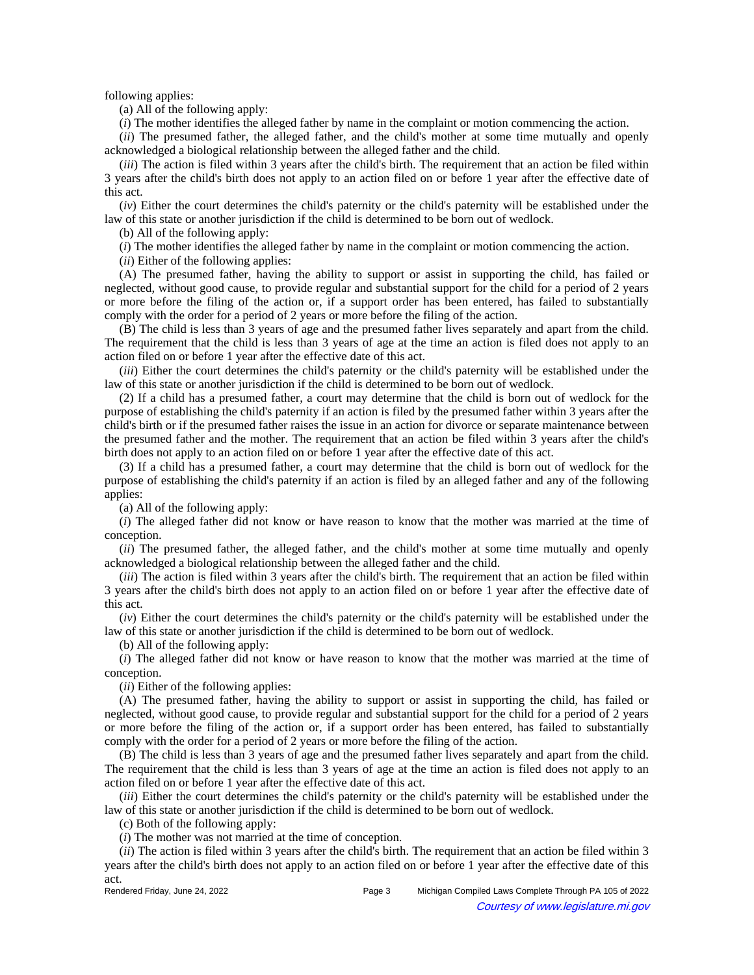following applies:

(a) All of the following apply:

(*i*) The mother identifies the alleged father by name in the complaint or motion commencing the action.

(*ii*) The presumed father, the alleged father, and the child's mother at some time mutually and openly acknowledged a biological relationship between the alleged father and the child.

(*iii*) The action is filed within 3 years after the child's birth. The requirement that an action be filed within 3 years after the child's birth does not apply to an action filed on or before 1 year after the effective date of this act.

(*iv*) Either the court determines the child's paternity or the child's paternity will be established under the law of this state or another jurisdiction if the child is determined to be born out of wedlock.

(b) All of the following apply:

(*i*) The mother identifies the alleged father by name in the complaint or motion commencing the action.

(*ii*) Either of the following applies:

(A) The presumed father, having the ability to support or assist in supporting the child, has failed or neglected, without good cause, to provide regular and substantial support for the child for a period of 2 years or more before the filing of the action or, if a support order has been entered, has failed to substantially comply with the order for a period of 2 years or more before the filing of the action.

(B) The child is less than 3 years of age and the presumed father lives separately and apart from the child. The requirement that the child is less than 3 years of age at the time an action is filed does not apply to an action filed on or before 1 year after the effective date of this act.

(*iii*) Either the court determines the child's paternity or the child's paternity will be established under the law of this state or another jurisdiction if the child is determined to be born out of wedlock.

(2) If a child has a presumed father, a court may determine that the child is born out of wedlock for the purpose of establishing the child's paternity if an action is filed by the presumed father within 3 years after the child's birth or if the presumed father raises the issue in an action for divorce or separate maintenance between the presumed father and the mother. The requirement that an action be filed within 3 years after the child's birth does not apply to an action filed on or before 1 year after the effective date of this act.

(3) If a child has a presumed father, a court may determine that the child is born out of wedlock for the purpose of establishing the child's paternity if an action is filed by an alleged father and any of the following applies:

(a) All of the following apply:

(*i*) The alleged father did not know or have reason to know that the mother was married at the time of conception.

(*ii*) The presumed father, the alleged father, and the child's mother at some time mutually and openly acknowledged a biological relationship between the alleged father and the child.

(*iii*) The action is filed within 3 years after the child's birth. The requirement that an action be filed within 3 years after the child's birth does not apply to an action filed on or before 1 year after the effective date of this act.

(*iv*) Either the court determines the child's paternity or the child's paternity will be established under the law of this state or another jurisdiction if the child is determined to be born out of wedlock.

(b) All of the following apply:

(*i*) The alleged father did not know or have reason to know that the mother was married at the time of conception.

(*ii*) Either of the following applies:

(A) The presumed father, having the ability to support or assist in supporting the child, has failed or neglected, without good cause, to provide regular and substantial support for the child for a period of 2 years or more before the filing of the action or, if a support order has been entered, has failed to substantially comply with the order for a period of 2 years or more before the filing of the action.

(B) The child is less than 3 years of age and the presumed father lives separately and apart from the child. The requirement that the child is less than 3 years of age at the time an action is filed does not apply to an action filed on or before 1 year after the effective date of this act.

(*iii*) Either the court determines the child's paternity or the child's paternity will be established under the law of this state or another jurisdiction if the child is determined to be born out of wedlock.

(c) Both of the following apply:

(*i*) The mother was not married at the time of conception.

(*ii*) The action is filed within 3 years after the child's birth. The requirement that an action be filed within 3 years after the child's birth does not apply to an action filed on or before 1 year after the effective date of this

act.<br>Rendered Friday, June 24, 2022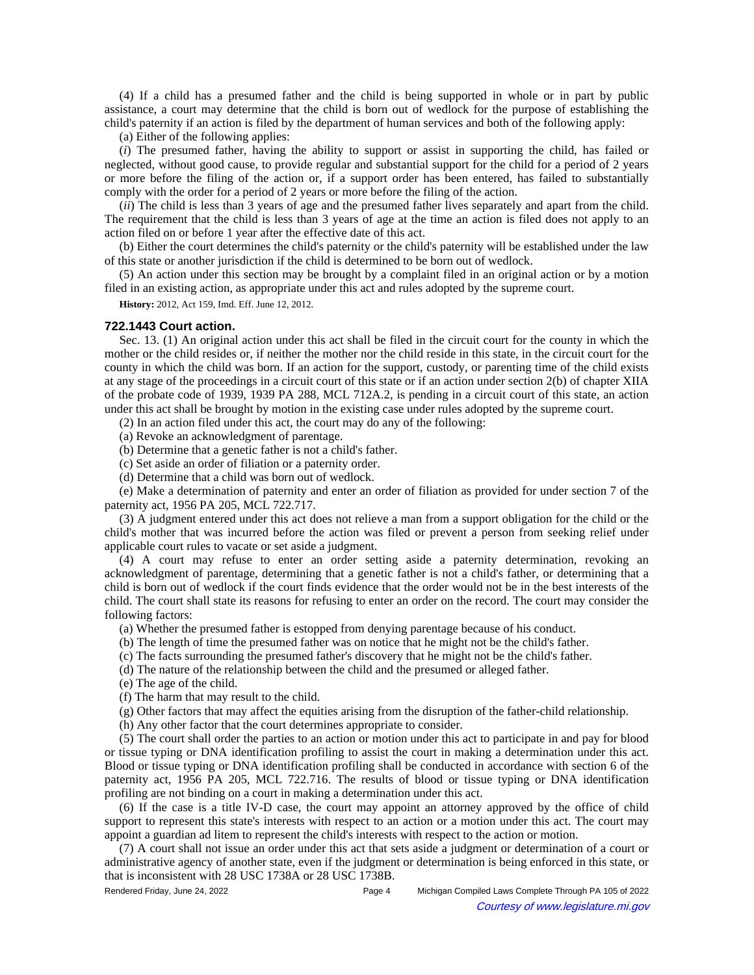(4) If a child has a presumed father and the child is being supported in whole or in part by public assistance, a court may determine that the child is born out of wedlock for the purpose of establishing the child's paternity if an action is filed by the department of human services and both of the following apply:

(a) Either of the following applies:

(*i*) The presumed father, having the ability to support or assist in supporting the child, has failed or neglected, without good cause, to provide regular and substantial support for the child for a period of 2 years or more before the filing of the action or, if a support order has been entered, has failed to substantially comply with the order for a period of 2 years or more before the filing of the action.

(*ii*) The child is less than 3 years of age and the presumed father lives separately and apart from the child. The requirement that the child is less than 3 years of age at the time an action is filed does not apply to an action filed on or before 1 year after the effective date of this act.

(b) Either the court determines the child's paternity or the child's paternity will be established under the law of this state or another jurisdiction if the child is determined to be born out of wedlock.

(5) An action under this section may be brought by a complaint filed in an original action or by a motion filed in an existing action, as appropriate under this act and rules adopted by the supreme court.

**History:** 2012, Act 159, Imd. Eff. June 12, 2012.

#### **722.1443 Court action.**

Sec. 13. (1) An original action under this act shall be filed in the circuit court for the county in which the mother or the child resides or, if neither the mother nor the child reside in this state, in the circuit court for the county in which the child was born. If an action for the support, custody, or parenting time of the child exists at any stage of the proceedings in a circuit court of this state or if an action under section 2(b) of chapter XIIA of the probate code of 1939, 1939 PA 288, MCL 712A.2, is pending in a circuit court of this state, an action under this act shall be brought by motion in the existing case under rules adopted by the supreme court.

(2) In an action filed under this act, the court may do any of the following:

(a) Revoke an acknowledgment of parentage.

(b) Determine that a genetic father is not a child's father.

(c) Set aside an order of filiation or a paternity order.

(d) Determine that a child was born out of wedlock.

(e) Make a determination of paternity and enter an order of filiation as provided for under section 7 of the paternity act, 1956 PA 205, MCL 722.717.

(3) A judgment entered under this act does not relieve a man from a support obligation for the child or the child's mother that was incurred before the action was filed or prevent a person from seeking relief under applicable court rules to vacate or set aside a judgment.

(4) A court may refuse to enter an order setting aside a paternity determination, revoking an acknowledgment of parentage, determining that a genetic father is not a child's father, or determining that a child is born out of wedlock if the court finds evidence that the order would not be in the best interests of the child. The court shall state its reasons for refusing to enter an order on the record. The court may consider the following factors:

(a) Whether the presumed father is estopped from denying parentage because of his conduct.

(b) The length of time the presumed father was on notice that he might not be the child's father.

(c) The facts surrounding the presumed father's discovery that he might not be the child's father.

(d) The nature of the relationship between the child and the presumed or alleged father.

(e) The age of the child.

(f) The harm that may result to the child.

(g) Other factors that may affect the equities arising from the disruption of the father-child relationship.

(h) Any other factor that the court determines appropriate to consider.

(5) The court shall order the parties to an action or motion under this act to participate in and pay for blood or tissue typing or DNA identification profiling to assist the court in making a determination under this act. Blood or tissue typing or DNA identification profiling shall be conducted in accordance with section 6 of the paternity act, 1956 PA 205, MCL 722.716. The results of blood or tissue typing or DNA identification profiling are not binding on a court in making a determination under this act.

(6) If the case is a title IV-D case, the court may appoint an attorney approved by the office of child support to represent this state's interests with respect to an action or a motion under this act. The court may appoint a guardian ad litem to represent the child's interests with respect to the action or motion.

(7) A court shall not issue an order under this act that sets aside a judgment or determination of a court or administrative agency of another state, even if the judgment or determination is being enforced in this state, or that is inconsistent with 28 USC 1738A or 28 USC 1738B.

Rendered Friday, June 24, 2022 Page 4 Michigan Compiled Laws Complete Through PA 105 of 2022 Courtesy of www.legislature.mi.gov